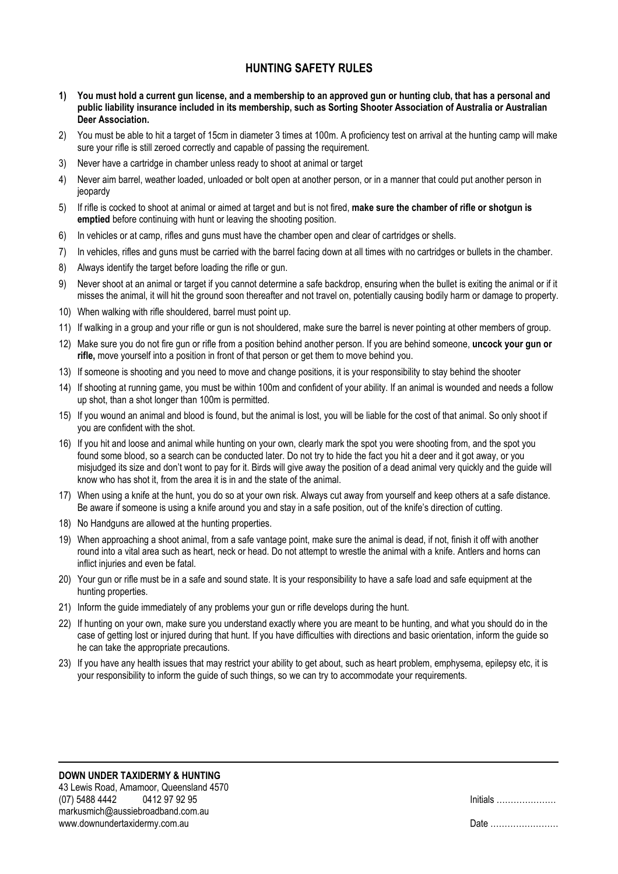## HUNTING SAFFTY RULES

- 1) You must hold a current gun license, and a membership to an approved gun or hunting club, that has a personal and public liability insurance included in its membership, such as Sorting Shooter Association of Australia or Australian Deer Association.
- 2) You must be able to hit a target of 15cm in diameter 3 times at 100m. A proficiency test on arrival at the hunting camp will make sure your rifle is still zeroed correctly and capable of passing the requirement.
- 3) Never have a cartridge in chamber unless ready to shoot at animal or target
- 4) Never aim barrel, weather loaded, unloaded or bolt open at another person, or in a manner that could put another person in jeopardy
- 5) If rifle is cocked to shoot at animal or aimed at target and but is not fired, make sure the chamber of rifle or shotgun is emptied before continuing with hunt or leaving the shooting position.
- 6) In vehicles or at camp, rifles and guns must have the chamber open and clear of cartridges or shells.
- 7) In vehicles, rifles and guns must be carried with the barrel facing down at all times with no cartridges or bullets in the chamber.
- 8) Always identify the target before loading the rifle or gun.
- 9) Never shoot at an animal or target if you cannot determine a safe backdrop, ensuring when the bullet is exiting the animal or if it misses the animal, it will hit the ground soon thereafter and not travel on, potentially causing bodily harm or damage to property.
- 10) When walking with rifle shouldered, barrel must point up.
- 11) If walking in a group and your rifle or gun is not shouldered, make sure the barrel is never pointing at other members of group.
- 12) Make sure you do not fire gun or rifle from a position behind another person. If you are behind someone, uncock your gun or rifle, move yourself into a position in front of that person or get them to move behind you.
- 13) If someone is shooting and you need to move and change positions, it is your responsibility to stay behind the shooter
- 14) If shooting at running game, you must be within 100m and confident of your ability. If an animal is wounded and needs a follow up shot, than a shot longer than 100m is permitted.
- 15) If you wound an animal and blood is found, but the animal is lost, you will be liable for the cost of that animal. So only shoot if you are confident with the shot.
- 16) If you hit and loose and animal while hunting on your own, clearly mark the spot you were shooting from, and the spot you found some blood, so a search can be conducted later. Do not try to hide the fact you hit a deer and it got away, or you misjudged its size and don't wont to pay for it. Birds will give away the position of a dead animal very quickly and the guide will know who has shot it, from the area it is in and the state of the animal.
- 17) When using a knife at the hunt, you do so at your own risk. Always cut away from yourself and keep others at a safe distance. Be aware if someone is using a knife around you and stay in a safe position, out of the knife's direction of cutting.
- 18) No Handguns are allowed at the hunting properties.
- 19) When approaching a shoot animal, from a safe vantage point, make sure the animal is dead, if not, finish it off with another round into a vital area such as heart, neck or head. Do not attempt to wrestle the animal with a knife. Antlers and horns can inflict injuries and even be fatal.
- 20) Your gun or rifle must be in a safe and sound state. It is your responsibility to have a safe load and safe equipment at the hunting properties.
- 21) Inform the guide immediately of any problems your gun or rifle develops during the hunt.
- 22) If hunting on your own, make sure you understand exactly where you are meant to be hunting, and what you should do in the case of getting lost or injured during that hunt. If you have difficulties with directions and basic orientation, inform the guide so he can take the appropriate precautions.
- 23) If you have any health issues that may restrict your ability to get about, such as heart problem, emphysema, epilepsy etc, it is your responsibility to inform the guide of such things, so we can try to accommodate your requirements.

| Date |  |
|------|--|